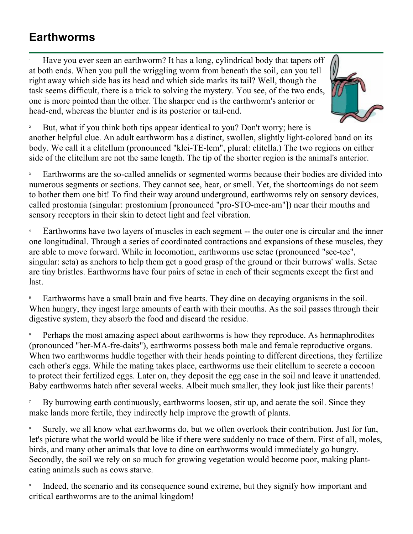## **Earthworms**

1 Have you ever seen an earthworm? It has a long, cylindrical body that tapers off at both ends. When you pull the wriggling worm from beneath the soil, can you tell right away which side has its head and which side marks its tail? Well, though the task seems difficult, there is a trick to solving the mystery. You see, of the two ends, one is more pointed than the other. The sharper end is the earthworm's anterior or head-end, whereas the blunter end is its posterior or tail-end.



2 But, what if you think both tips appear identical to you? Don't worry; here is another helpful clue. An adult earthworm has a distinct, swollen, slightly light-colored band on its body. We call it a clitellum (pronounced "klei-TE-lem", plural: clitella.) The two regions on either side of the clitellum are not the same length. The tip of the shorter region is the animal's anterior.

3 Earthworms are the so-called annelids or segmented worms because their bodies are divided into numerous segments or sections. They cannot see, hear, or smell. Yet, the shortcomings do not seem to bother them one bit! To find their way around underground, earthworms rely on sensory devices, called prostomia (singular: prostomium [pronounced "pro-STO-mee-am"]) near their mouths and sensory receptors in their skin to detect light and feel vibration.

4 Earthworms have two layers of muscles in each segment -- the outer one is circular and the inner one longitudinal. Through a series of coordinated contractions and expansions of these muscles, they are able to move forward. While in locomotion, earthworms use setae (pronounced "see-tee", singular: seta) as anchors to help them get a good grasp of the ground or their burrows' walls. Setae are tiny bristles. Earthworms have four pairs of setae in each of their segments except the first and last.

5 Earthworms have a small brain and five hearts. They dine on decaying organisms in the soil. When hungry, they ingest large amounts of earth with their mouths. As the soil passes through their digestive system, they absorb the food and discard the residue.

6 Perhaps the most amazing aspect about earthworms is how they reproduce. As hermaphrodites (pronounced "her-MA-fre-daits"), earthworms possess both male and female reproductive organs. When two earthworms huddle together with their heads pointing to different directions, they fertilize each other's eggs. While the mating takes place, earthworms use their clitellum to secrete a cocoon to protect their fertilized eggs. Later on, they deposit the egg case in the soil and leave it unattended. Baby earthworms hatch after several weeks. Albeit much smaller, they look just like their parents!

7 By burrowing earth continuously, earthworms loosen, stir up, and aerate the soil. Since they make lands more fertile, they indirectly help improve the growth of plants.

8 Surely, we all know what earthworms do, but we often overlook their contribution. Just for fun, let's picture what the world would be like if there were suddenly no trace of them. First of all, moles, birds, and many other animals that love to dine on earthworms would immediately go hungry. Secondly, the soil we rely on so much for growing vegetation would become poor, making planteating animals such as cows starve.

9 Indeed, the scenario and its consequence sound extreme, but they signify how important and critical earthworms are to the animal kingdom!